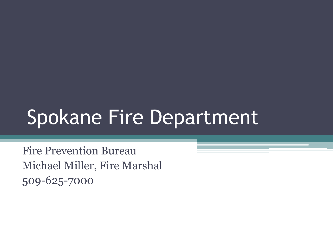# Spokane Fire Department

Fire Prevention Bureau Michael Miller, Fire Marshal 509-625-7000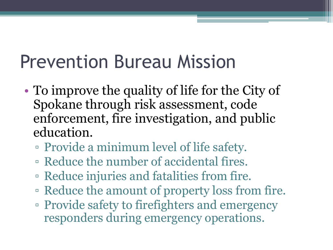## Prevention Bureau Mission

- To improve the quality of life for the City of Spokane through risk assessment, code enforcement, fire investigation, and public education.
	- Provide a minimum level of life safety.
	- Reduce the number of accidental fires.
	- Reduce injuries and fatalities from fire.
	- Reduce the amount of property loss from fire.
	- Provide safety to firefighters and emergency responders during emergency operations.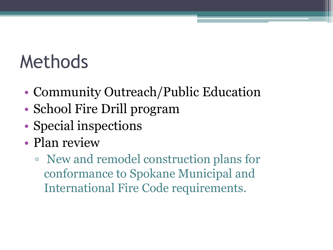### Methods

- Community Outreach/Public Education
- School Fire Drill program
- Special inspections
- Plan review
	- New and remodel construction plans for conformance to Spokane Municipal and International Fire Code requirements.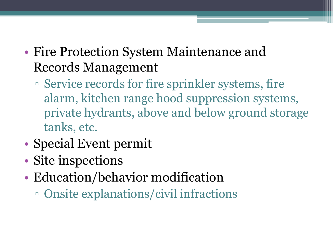- Fire Protection System Maintenance and Records Management
	- Service records for fire sprinkler systems, fire alarm, kitchen range hood suppression systems, private hydrants, above and below ground storage tanks, etc.
- Special Event permit
- Site inspections
- Education/behavior modification
	- Onsite explanations/civil infractions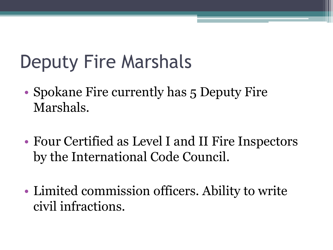# Deputy Fire Marshals

- Spokane Fire currently has 5 Deputy Fire Marshals.
- Four Certified as Level I and II Fire Inspectors by the International Code Council.
- Limited commission officers. Ability to write civil infractions.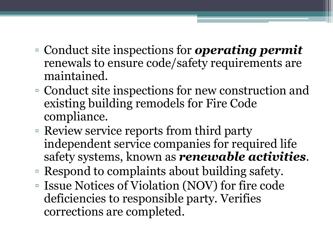- Conduct site inspections for *operating permit*  renewals to ensure code/safety requirements are maintained.
- Conduct site inspections for new construction and existing building remodels for Fire Code compliance.
- Review service reports from third party independent service companies for required life safety systems, known as *renewable activities*.
- Respond to complaints about building safety.
- Issue Notices of Violation (NOV) for fire code deficiencies to responsible party. Verifies corrections are completed.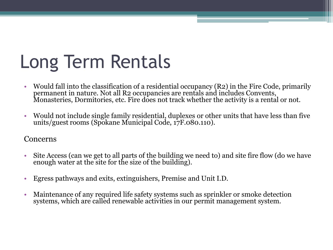# Long Term Rentals

- Would fall into the classification of a residential occupancy (R2) in the Fire Code, primarily permanent in nature. Not all R2 occupancies are rentals and includes Convents, Monasteries, Dormitories, etc. Fire does not track whether the activity is a rental or not.
- Would not include single family residential, duplexes or other units that have less than five units/guest rooms (Spokane Municipal Code, 17F.080.110).

#### Concerns

- Site Access (can we get to all parts of the building we need to) and site fire flow (do we have enough water at the site for the size of the building).
- Egress pathways and exits, extinguishers, Premise and Unit I.D.
- Maintenance of any required life safety systems such as sprinkler or smoke detection systems, which are called renewable activities in our permit management system.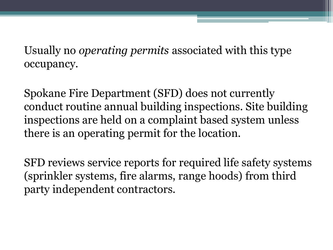Usually no *operating permits* associated with this type occupancy.

Spokane Fire Department (SFD) does not currently conduct routine annual building inspections. Site building inspections are held on a complaint based system unless there is an operating permit for the location.

SFD reviews service reports for required life safety systems (sprinkler systems, fire alarms, range hoods) from third party independent contractors.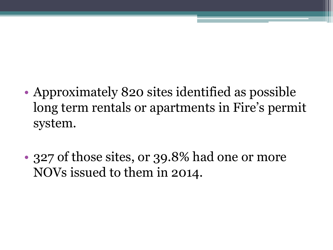- Approximately 820 sites identified as possible long term rentals or apartments in Fire's permit system.
- 327 of those sites, or 39.8% had one or more NOVs issued to them in 2014.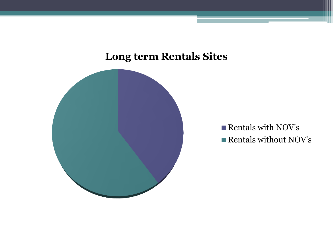#### **Long term Rentals Sites**



Rentals with NOV's Rentals without NOV's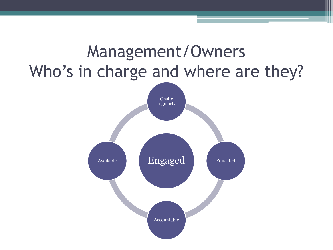# Management/Owners Who's in charge and where are they? Engaged Onsite regularly Educated Accountable Available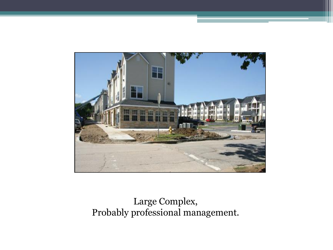

#### Large Complex, Probably professional management.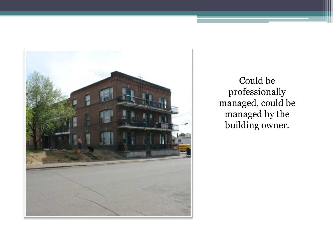

Could be professionally managed, could be managed by the building owner.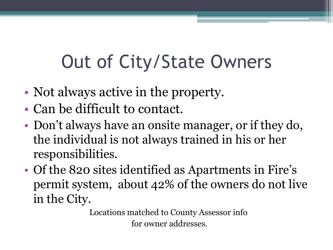# Out of City/State Owners

- Not always active in the property.
- Can be difficult to contact.
- Don't always have an onsite manager, or if they do, the individual is not always trained in his or her responsibilities.
- Of the 820 sites identified as Apartments in Fire's permit system, about 42% of the owners do not live in the City.

Locations matched to County Assessor info for owner addresses.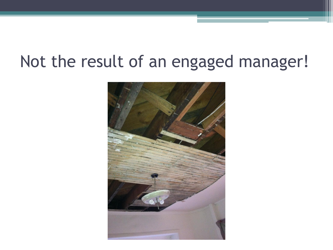#### Not the result of an engaged manager!

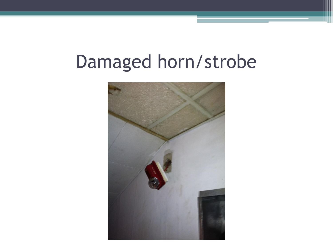## Damaged horn/strobe

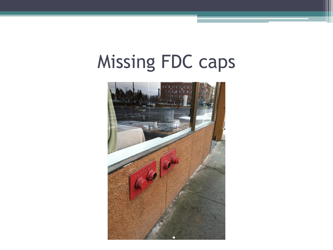# Missing FDC caps

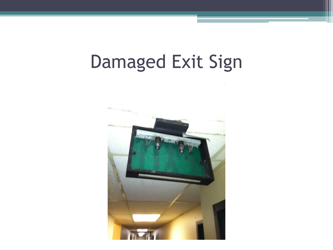## Damaged Exit Sign

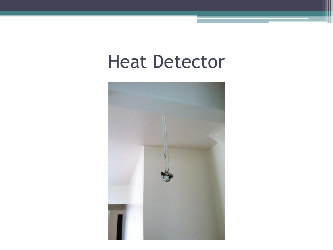### Heat Detector

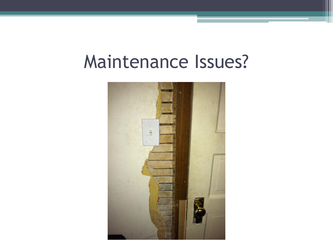### Maintenance Issues?

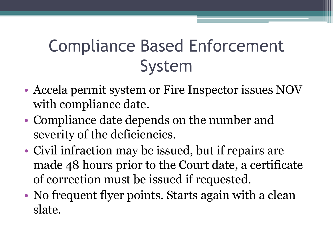#### Compliance Based Enforcement System

- Accela permit system or Fire Inspector issues NOV with compliance date.
- Compliance date depends on the number and severity of the deficiencies.
- Civil infraction may be issued, but if repairs are made 48 hours prior to the Court date, a certificate of correction must be issued if requested.
- No frequent flyer points. Starts again with a clean slate.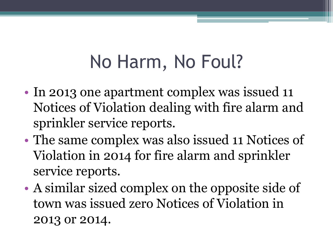## No Harm, No Foul?

- In 2013 one apartment complex was issued 11 Notices of Violation dealing with fire alarm and sprinkler service reports.
- The same complex was also issued 11 Notices of Violation in 2014 for fire alarm and sprinkler service reports.
- A similar sized complex on the opposite side of town was issued zero Notices of Violation in 2013 or 2014.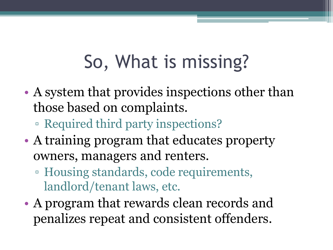# So, What is missing?

- A system that provides inspections other than those based on complaints.
	- Required third party inspections?
- A training program that educates property owners, managers and renters.
	- Housing standards, code requirements, landlord/tenant laws, etc.
- A program that rewards clean records and penalizes repeat and consistent offenders.